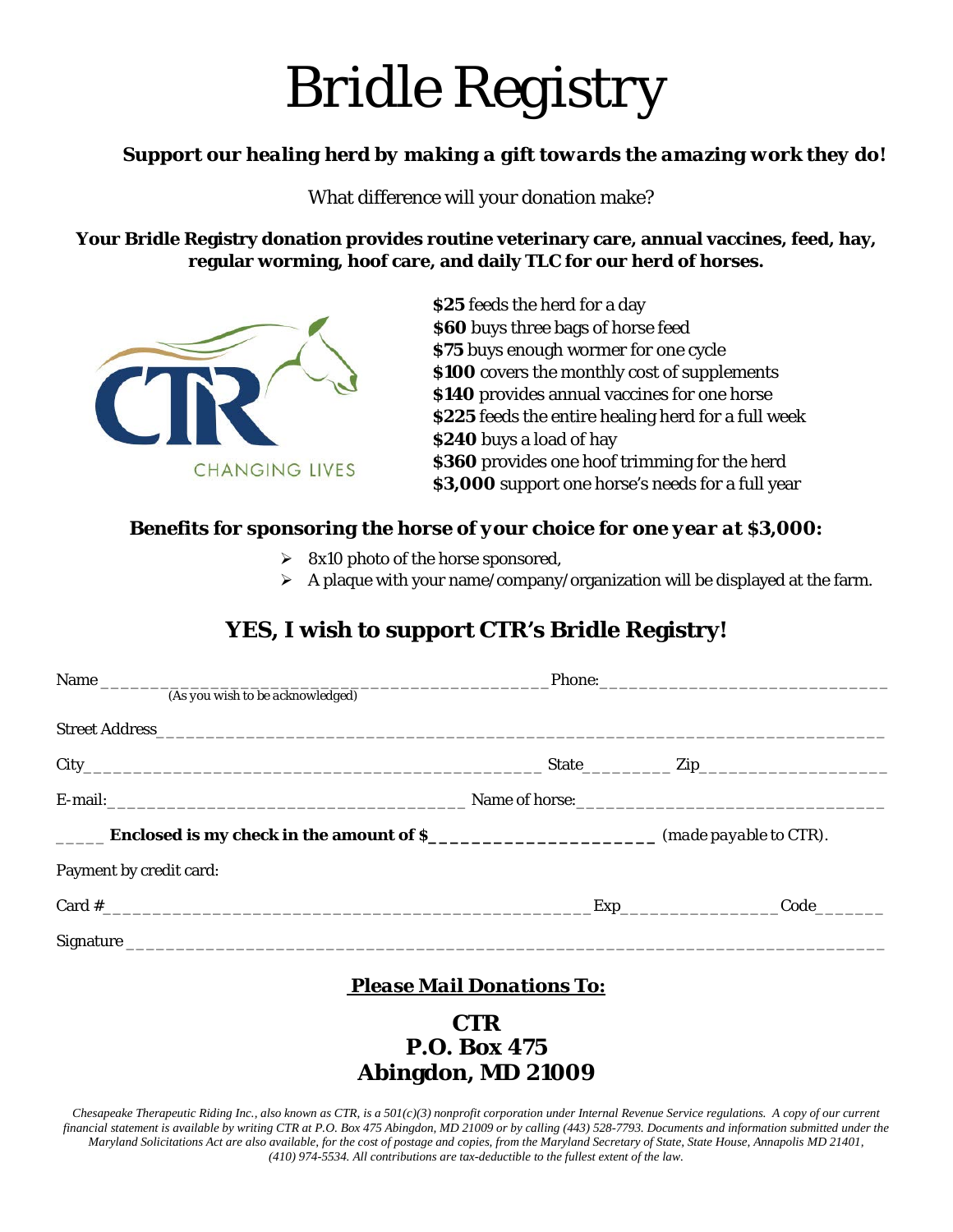# *Bridle Registry*

### *Support our healing herd by making a gift towards the amazing work they do!*

What difference will your donation make?

**Your Bridle Registry donation provides routine veterinary care, annual vaccines, feed, hay, regular worming, hoof care, and daily TLC for our herd of horses.**



**\$25** feeds the herd for a day  **\$60** buys three bags of horse feed **\$75** buys enough wormer for one cycle **\$100** covers the monthly cost of supplements **\$140** provides annual vaccines for one horse **\$225** feeds the entire healing herd for a full week **\$240** buys a load of hay **\$360** provides one hoof trimming for the herd **\$3,000** support one horse's needs for a full year

#### *Benefits for sponsoring the horse of your choice for one year at \$3,000:*

- $\geq$  8x10 photo of the horse sponsored,
- $\triangleright$  A plaque with your name/company/organization will be displayed at the farm.

# **YES, I wish to support CTR's Bridle Registry!**

| <b>Enclosed is my check in the amount of \$_______________________</b> (made payable to CTR). |                                           |  |
|-----------------------------------------------------------------------------------------------|-------------------------------------------|--|
| Payment by credit card:                                                                       |                                           |  |
| Card $\#$                                                                                     | Code<br><b>Exp_______________________</b> |  |
|                                                                                               |                                           |  |

## *Please Mail Donations To:*

## **CTR P.O. Box 475 Abingdon, MD 21009**

*Chesapeake Therapeutic Riding Inc., also known as CTR, is a 501(c)(3) nonprofit corporation under Internal Revenue Service regulations. A copy of our current financial statement is available by writing CTR at P.O. Box 475 Abingdon, MD 21009 or by calling (443) 528-7793. Documents and information submitted under the Maryland Solicitations Act are also available, for the cost of postage and copies, from the Maryland Secretary of State, State House, Annapolis MD 21401, (410) 974-5534. All contributions are tax-deductible to the fullest extent of the law.*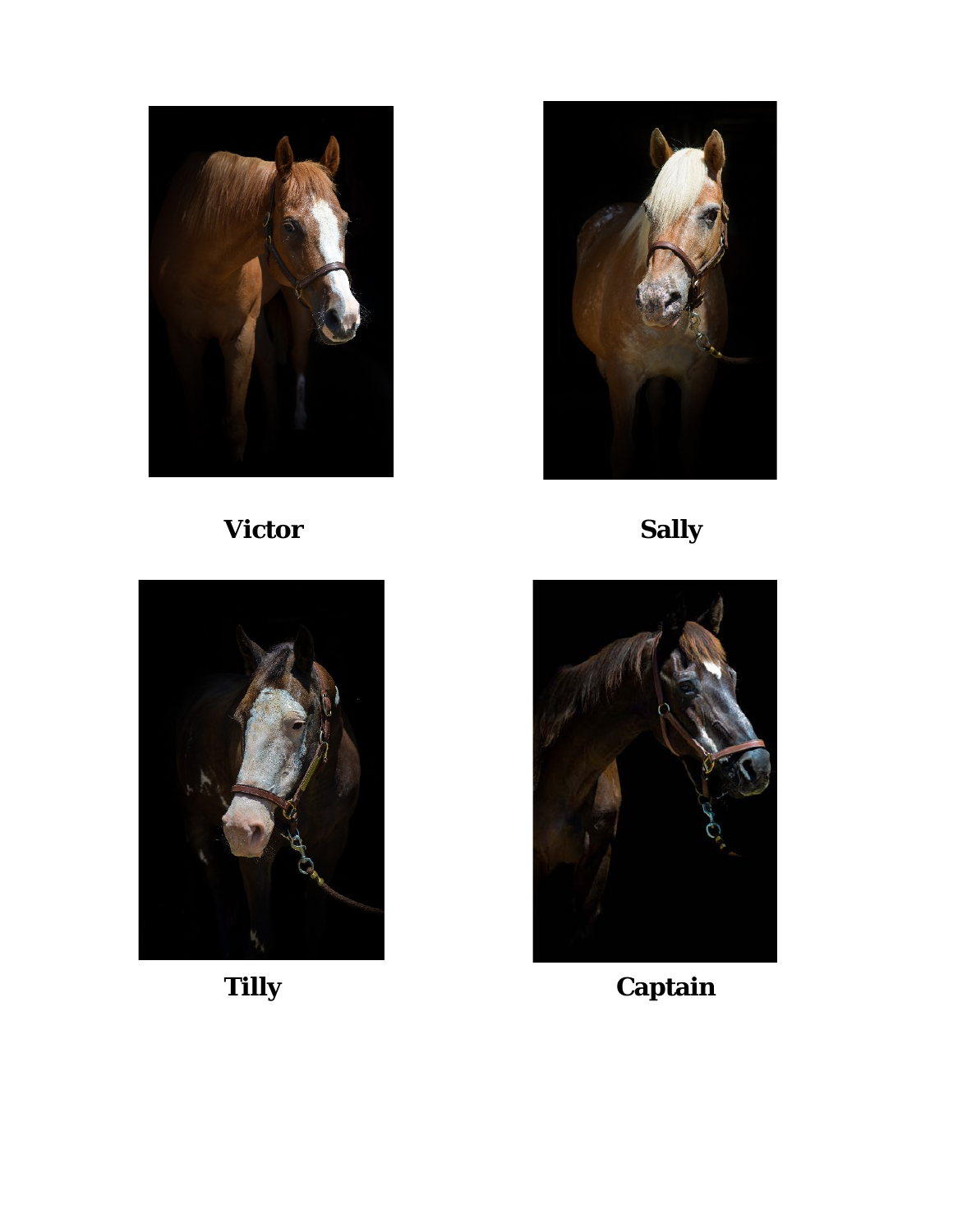

**Victor Sally**







**Tilly Captain**